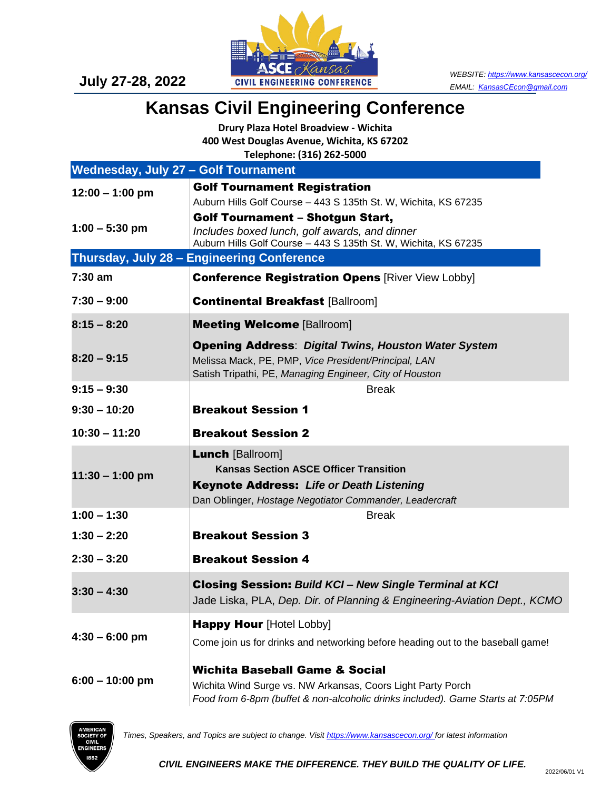

## **Kansas Civil Engineering Conference**

**Drury Plaza Hotel Broadview - Wichita 400 West Douglas Avenue, Wichita, KS 67202 Telephone: (316) 262-5000**

|                                             | $T = 1$                                                                                                          |
|---------------------------------------------|------------------------------------------------------------------------------------------------------------------|
| <b>Wednesday, July 27 - Golf Tournament</b> |                                                                                                                  |
| $12:00 - 1:00$ pm                           | <b>Golf Tournament Registration</b>                                                                              |
|                                             | Auburn Hills Golf Course - 443 S 135th St. W, Wichita, KS 67235                                                  |
| $1:00 - 5:30$ pm                            | <b>Golf Tournament - Shotgun Start,</b>                                                                          |
|                                             | Includes boxed lunch, golf awards, and dinner<br>Auburn Hills Golf Course - 443 S 135th St. W, Wichita, KS 67235 |
|                                             | <b>Thursday, July 28 - Engineering Conference</b>                                                                |
| $7:30$ am                                   | <b>Conference Registration Opens [River View Lobby]</b>                                                          |
| $7:30 - 9:00$                               | <b>Continental Breakfast [Ballroom]</b>                                                                          |
| $8:15 - 8:20$                               | <b>Meeting Welcome [Ballroom]</b>                                                                                |
|                                             | <b>Opening Address: Digital Twins, Houston Water System</b>                                                      |
| $8:20 - 9:15$                               | Melissa Mack, PE, PMP, Vice President/Principal, LAN                                                             |
| $9:15 - 9:30$                               | Satish Tripathi, PE, Managing Engineer, City of Houston<br><b>Break</b>                                          |
|                                             |                                                                                                                  |
| $9:30 - 10:20$                              | <b>Breakout Session 1</b>                                                                                        |
| $10:30 - 11:20$                             | <b>Breakout Session 2</b>                                                                                        |
| $11:30 - 1:00$ pm                           | <b>Lunch [Ballroom]</b>                                                                                          |
|                                             | <b>Kansas Section ASCE Officer Transition</b>                                                                    |
|                                             | <b>Keynote Address: Life or Death Listening</b>                                                                  |
|                                             | Dan Oblinger, Hostage Negotiator Commander, Leadercraft                                                          |
| $1:00 - 1:30$                               | <b>Break</b>                                                                                                     |
| $1:30 - 2:20$                               | <b>Breakout Session 3</b>                                                                                        |
| $2:30 - 3:20$                               | <b>Breakout Session 4</b>                                                                                        |
| $3:30 - 4:30$                               | <b>Closing Session: Build KCI - New Single Terminal at KCI</b>                                                   |
|                                             | Jade Liska, PLA, Dep. Dir. of Planning & Engineering-Aviation Dept., KCMO                                        |
| $4:30 - 6:00$ pm                            | <b>Happy Hour [Hotel Lobby]</b>                                                                                  |
|                                             | Come join us for drinks and networking before heading out to the baseball game!                                  |
| $6:00 - 10:00$ pm                           | <b>Wichita Baseball Game &amp; Social</b>                                                                        |
|                                             | Wichita Wind Surge vs. NW Arkansas, Coors Light Party Porch                                                      |
|                                             | Food from 6-8pm (buffet & non-alcoholic drinks included). Game Starts at 7:05PM                                  |



*Times, Speakers, and Topics are subject to change. Visi[t https://www.kansascecon.org/](https://www.kansascecon.org/) for latest information*

*CIVIL ENGINEERS MAKE THE DIFFERENCE. THEY BUILD THE QUALITY OF LIFE.*